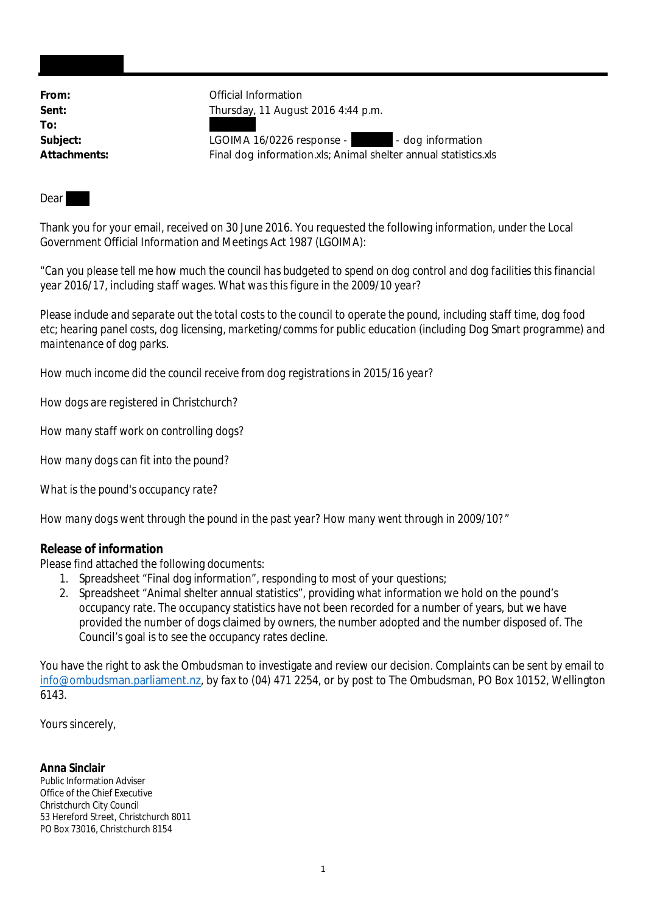**To:**

From: **From:** Official Information **Sent:** Thursday, 11 August 2016 4:44 p.m.

Subject: LGOIMA 16/0226 response - - - - dog information **Attachments:** Final dog information.xls; Animal shelter annual statistics.xls

Dear

Thank you for your email, received on 30 June 2016. You requested the following information, under the Local Government Official Information and Meetings Act 1987 (LGOIMA):

"*Can you please tell me how much the council has budgeted to spend on dog control and dog facilities this financial year 2016/17, including staff wages. What was this figure in the 2009/10 year?*

*Please include and separate out the total costs to the council to operate the pound, including staff time, dog food etc; hearing panel costs, dog licensing, marketing/comms for public education (including Dog Smart programme) and maintenance of dog parks.*

*How much income did the council receive from dog registrations in 2015/16 year?*

*How dogs are registered in Christchurch?*

*How many staff work on controlling dogs?*

*How many dogs can fit into the pound?*

*What is the pound's occupancy rate?*

*How many dogs went through the pound in the past year? How many went through in 2009/10?*"

**Release of information**

Please find attached the following documents:

- 1. Spreadsheet "Final dog information", responding to most of your questions;
- 2. Spreadsheet "Animal shelter annual statistics", providing what information we hold on the pound's occupancy rate. The occupancy statistics have not been recorded for a number of years, but we have provided the number of dogs claimed by owners, the number adopted and the number disposed of. The Council's goal is to see the occupancy rates decline.

You have the right to ask the Ombudsman to investigate and review our decision. Complaints can be sent by email to info@ombudsman.parliament.nz, by fax to (04) 471 2254, or by post to The Ombudsman, PO Box 10152, Wellington 6143.

Yours sincerely,

**Anna Sinclair** Public Information Adviser Office of the Chief Executive Christchurch City Council 53 Hereford Street, Christchurch 8011 PO Box 73016, Christchurch 8154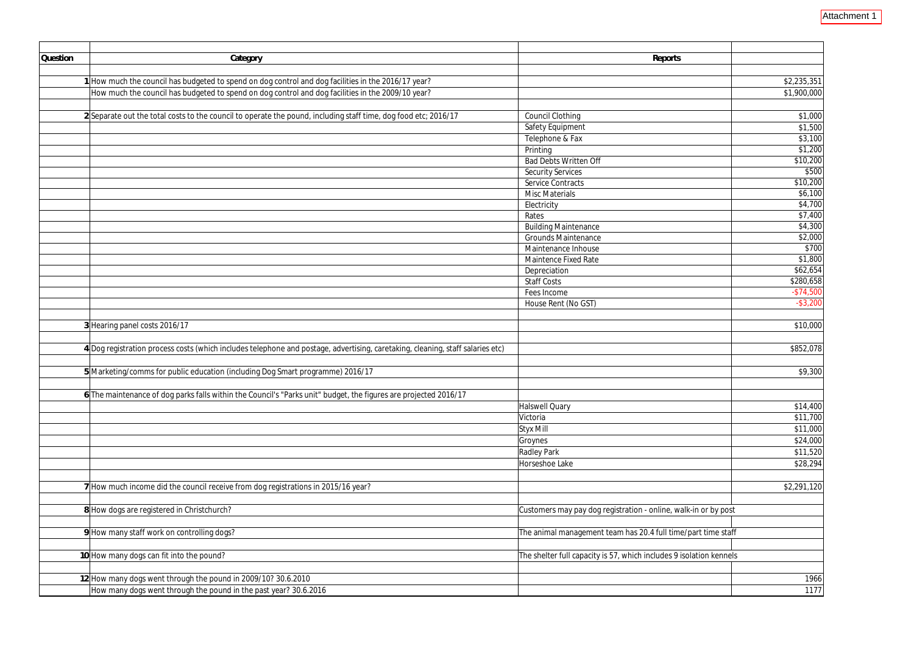| Question | Category                                                                                                                       | Reports                                                             |             |
|----------|--------------------------------------------------------------------------------------------------------------------------------|---------------------------------------------------------------------|-------------|
|          |                                                                                                                                |                                                                     |             |
|          | 1 How much the council has budgeted to spend on dog control and dog facilities in the 2016/17 year?                            |                                                                     | \$2,235,351 |
|          | How much the council has budgeted to spend on dog control and dog facilities in the 2009/10 year?                              |                                                                     | \$1,900,000 |
|          |                                                                                                                                |                                                                     |             |
|          | 2 Separate out the total costs to the council to operate the pound, including staff time, dog food etc; 2016/17                | <b>Council Clothing</b>                                             | \$1,000     |
|          |                                                                                                                                | Safety Equipment                                                    | \$1,500     |
|          |                                                                                                                                | Telephone & Fax                                                     | \$3,100     |
|          |                                                                                                                                | Printing                                                            | \$1,200     |
|          |                                                                                                                                | <b>Bad Debts Written Off</b>                                        | \$10,200    |
|          |                                                                                                                                | <b>Security Services</b>                                            | \$500       |
|          |                                                                                                                                | <b>Service Contracts</b>                                            | \$10,200    |
|          |                                                                                                                                | <b>Misc Materials</b>                                               | \$6,100     |
|          |                                                                                                                                | Electricity                                                         | \$4,700     |
|          |                                                                                                                                | Rates                                                               | \$7,400     |
|          |                                                                                                                                | <b>Building Maintenance</b>                                         | \$4,300     |
|          |                                                                                                                                | <b>Grounds Maintenance</b>                                          | \$2,000     |
|          |                                                                                                                                | Maintenance Inhouse                                                 | \$700       |
|          |                                                                                                                                | <b>Maintence Fixed Rate</b>                                         | \$1,800     |
|          |                                                                                                                                | Depreciation                                                        | \$62,654    |
|          |                                                                                                                                | <b>Staff Costs</b>                                                  | \$280,658   |
|          |                                                                                                                                | Fees Income                                                         | $-$74,500$  |
|          |                                                                                                                                | House Rent (No GST)                                                 | $-$ \$3,200 |
|          | 3 Hearing panel costs 2016/17                                                                                                  |                                                                     | \$10,000    |
|          | 4 Dog registration process costs (which includes telephone and postage, advertising, caretaking, cleaning, staff salaries etc) |                                                                     | \$852,078   |
|          |                                                                                                                                |                                                                     |             |
|          | 5 Marketing/comms for public education (including Dog Smart programme) 2016/17                                                 |                                                                     | \$9,300     |
|          | 6 The maintenance of dog parks falls within the Council's "Parks unit" budget, the figures are projected 2016/17               |                                                                     |             |
|          |                                                                                                                                | <b>Halswell Quary</b>                                               | \$14,400    |
|          |                                                                                                                                | Victoria                                                            | \$11,700    |
|          |                                                                                                                                | <b>Styx Mill</b>                                                    | \$11,000    |
|          |                                                                                                                                | Groynes                                                             | \$24,000    |
|          |                                                                                                                                | <b>Radley Park</b>                                                  | \$11,520    |
|          |                                                                                                                                | Horseshoe Lake                                                      | \$28,294    |
|          |                                                                                                                                |                                                                     |             |
|          | 7 How much income did the council receive from dog registrations in 2015/16 year?                                              |                                                                     | \$2,291,120 |
|          |                                                                                                                                |                                                                     |             |
|          | 8 How dogs are registered in Christchurch?                                                                                     | Customers may pay dog registration - online, walk-in or by post     |             |
|          | 9 How many staff work on controlling dogs?                                                                                     | The animal management team has 20.4 full time/part time staff       |             |
|          |                                                                                                                                |                                                                     |             |
|          | 10 How many dogs can fit into the pound?                                                                                       | The shelter full capacity is 57, which includes 9 isolation kennels |             |
|          |                                                                                                                                |                                                                     |             |
|          | 12 How many dogs went through the pound in 2009/10? 30.6.2010                                                                  |                                                                     | 1966        |
|          | How many dogs went through the pound in the past year? 30.6.2016                                                               |                                                                     | 1177        |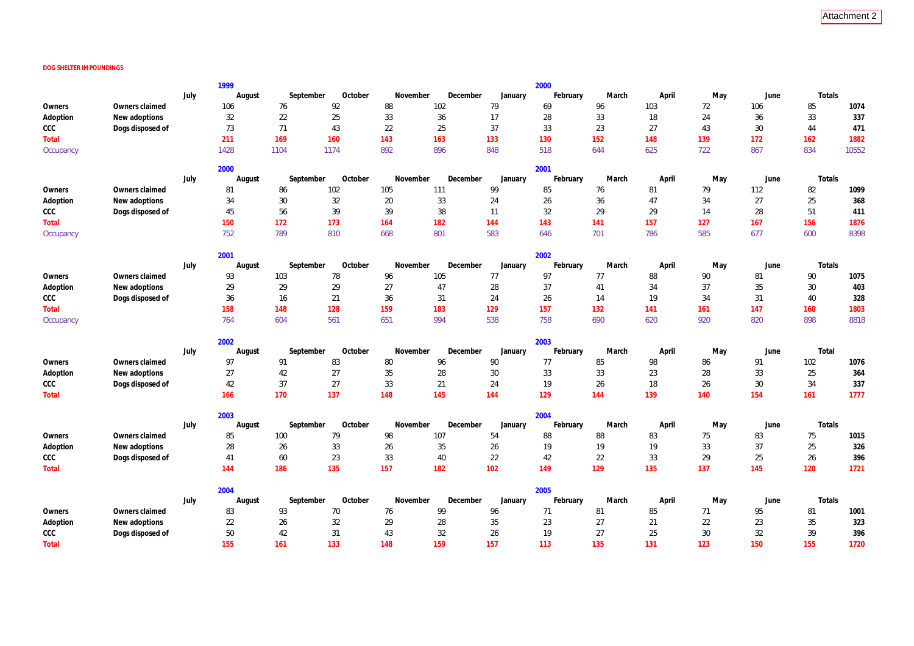## **DOG SHELTER IMPOUNDINGS**

|              |                  |      | 1999   |           |         |          |          |         | 2000     |       |       |        |      |        |       |
|--------------|------------------|------|--------|-----------|---------|----------|----------|---------|----------|-------|-------|--------|------|--------|-------|
|              |                  | July | August | September | October | November | December | January | February | March | April | May    | June | Totals |       |
| Owners       | Owners claimed   |      | 106    | 76        | 92      | 88       | 102      | 79      | 69       | 96    | 103   | 72     | 106  | 85     | 1074  |
| Adoption     | New adoptions    |      | 32     | 22        | 25      | 33       | 36       | 17      | 28       | 33    | 18    | 24     | 36   | 33     | 337   |
| CCC          | Dogs disposed of |      | 73     | 71        | 43      | 22       | 25       | 37      | 33       | 23    | 27    | 43     | 30   | 44     | 471   |
| Total        |                  |      | 211    | 169       | 160     | 143      | 163      | 133     | 130      | 152   | 148   | 139    | 172  | 162    | 1882  |
| Occupancy    |                  |      | 1428   | 1104      | 1174    | 892      | 896      | 848     | 518      | 644   | 625   | 722    | 867  | 834    | 10552 |
|              |                  |      | 2000   |           |         |          |          |         | 2001     |       |       |        |      |        |       |
|              |                  | July | August | September | October | November | December | January | February | March | April | May    | June | Totals |       |
| Owners       | Owners claimed   |      | 81     | 86        | 102     | 105      | 111      | 99      | 85       | 76    | 81    | 79     | 112  | 82     | 1099  |
| Adoption     | New adoptions    |      | 34     | 30        | 32      | 20       | 33       | 24      | 26       | 36    | 47    | 34     | 27   | 25     | 368   |
| CCC          | Dogs disposed of |      | 45     | 56        | 39      | 39       | 38       | 11      | 32       | 29    | 29    | 14     | 28   | 51     | 411   |
| Total        |                  |      | 150    | 172       | 173     | 164      | 182      | 144     | 143      | 141   | 157   | 127    | 167  | 156    | 1876  |
| Occupancy    |                  |      | 752    | 789       | 810     | 668      | 801      | 583     | 646      | 701   | 786   | 585    | 677  | 600    | 8398  |
|              |                  |      | 2001   |           |         |          |          |         | 2002     |       |       |        |      |        |       |
|              |                  | July | August | September | October | November | December | January | February | March | April | May    | June | Totals |       |
| Owners       | Owners claimed   |      | 93     | 103       | 78      | 96       | 105      | 77      | 97       | 77    | 88    | 90     | 81   | 90     | 1075  |
| Adoption     | New adoptions    |      | 29     | 29        | 29      | 27       | 47       | 28      | 37       | 41    | 34    | 37     | 35   | 30     | 403   |
| CCC          | Dogs disposed of |      | 36     | 16        | 21      | 36       | 31       | 24      | 26       | 14    | 19    | 34     | 31   | 40     | 328   |
| Total        |                  |      | 158    | 148       | 128     | 159      | 183      | 129     | 157      | 132   | 141   | 161    | 147  | 160    | 1803  |
| Occupancy    |                  |      | 764    | 604       | 561     | 651      | 994      | 538     | 758      | 690   | 620   | 920    | 820  | 898    | 8818  |
|              |                  |      | 2002   |           |         |          |          |         | 2003     |       |       |        |      |        |       |
|              |                  | July | August | September | October | November | December | January | February | March | April | May    | June | Total  |       |
| Owners       | Owners claimed   |      | 97     | 91        | 83      | 80       | 96       | 90      | 77       | 85    | 98    | 86     | 91   | 102    | 1076  |
| Adoption     | New adoptions    |      | 27     | 42        | 27      | 35       | 28       | 30      | 33       | 33    | 23    | 28     | 33   | 25     | 364   |
| CCC          | Dogs disposed of |      | 42     | 37        | 27      | 33       | 21       | 24      | 19       | 26    | 18    | 26     | 30   | 34     | 337   |
| Total        |                  |      | 166    | 170       | 137     | 148      | 145      | 144     | 129      | 144   | 139   | 140    | 154  | 161    | 1777  |
|              |                  |      | 2003   |           |         |          |          |         | 2004     |       |       |        |      |        |       |
|              |                  | July | August | September | October | November | December | January | February | March | April | May    | June | Totals |       |
| Owners       | Owners claimed   |      | 85     | 100       | 79      | 98       | 107      | 54      | 88       | 88    | 83    | 75     | 83   | 75     | 1015  |
| Adoption     | New adoptions    |      | 28     | 26        | 33      | 26       | 35       | 26      | 19       | 19    | 19    | 33     | 37   | 25     | 326   |
| CCC          | Dogs disposed of |      | 41     | 60        | 23      | 33       | 40       | 22      | 42       | 22    | 33    | 29     | 25   | 26     | 396   |
| <b>Total</b> |                  |      | 144    | 186       | 135     | 157      | 182      | 102     | 149      | 129   | 135   | 137    | 145  | 120    | 1721  |
|              |                  |      | 2004   |           |         |          |          |         | 2005     |       |       |        |      |        |       |
|              |                  | July | August | September | October | November | December | January | February | March | April | May    | June | Totals |       |
| Owners       | Owners claimed   |      | 83     | 93        | $70\,$  | 76       | 99       | 96      | 71       | 81    | 85    | 71     | 95   | 81     | 1001  |
| Adoption     | New adoptions    |      | 22     | 26        | 32      | 29       | 28       | 35      | 23       | 27    | 21    | 22     | 23   | 35     | 323   |
| CCC          | Dogs disposed of |      | 50     | 42        | 31      | 43       | 32       | 26      | 19       | 27    | 25    | $30\,$ | 32   | 39     | 396   |
| <b>Total</b> |                  |      | 155    | 161       | 133     | 148      | 159      | 157     | 113      | 135   | 131   | 123    | 150  | 155    | 1720  |

|     | May | June | Totals |       |  |  |
|-----|-----|------|--------|-------|--|--|
| 72  |     | 106  | 85     | 1074  |  |  |
| 24  |     | 36   | 33     | 337   |  |  |
| 43  |     | 30   | 44     | 471   |  |  |
| 139 |     | 172  | 162    | 1882  |  |  |
| 722 |     | 867  | 834    | 10552 |  |  |
|     |     |      |        |       |  |  |
|     | May | June | Totals |       |  |  |
| 79  |     | 112  | 82     | 1099  |  |  |
| 34  |     | 27   | 25     | 368   |  |  |
| 14  |     | 28   | 51     | 411   |  |  |
| 127 |     | 167  | 156    | 1876  |  |  |
| 585 |     | 677  | 600    | 8398  |  |  |
|     |     |      |        |       |  |  |
|     | May | June | Totals |       |  |  |
| 90  |     | 81   | 90     | 1075  |  |  |
| 37  |     | 35   | 30     | 403   |  |  |
| 34  |     | 31   | 40     | 328   |  |  |
| 161 |     | 147  | 160    | 1803  |  |  |
| 920 |     | 820  | 898    | 8818  |  |  |
|     | May | June | Total  |       |  |  |
| 86  |     | 91   | 102    | 1076  |  |  |
| 28  |     | 33   | 25     | 364   |  |  |
| 26  |     | 30   | 34     | 337   |  |  |
| 140 |     | 154  | 161    | 1777  |  |  |
|     | May |      | Totals |       |  |  |
|     |     | June |        |       |  |  |
| 75  |     | 83   | 75     | 1015  |  |  |
| 33  |     | 37   | 25     | 326   |  |  |
| 29  |     | 25   | 26     | 396   |  |  |
| 137 |     | 145  | 120    | 1721  |  |  |
|     | May | June | Totals |       |  |  |
| 71  |     | 95   | 81     | 1001  |  |  |
| 22  |     | 23   | 35     | 323   |  |  |
| 30  |     | 32   | 39     | 396   |  |  |
| 123 |     | 150  | 155    | 1720  |  |  |
|     |     |      |        |       |  |  |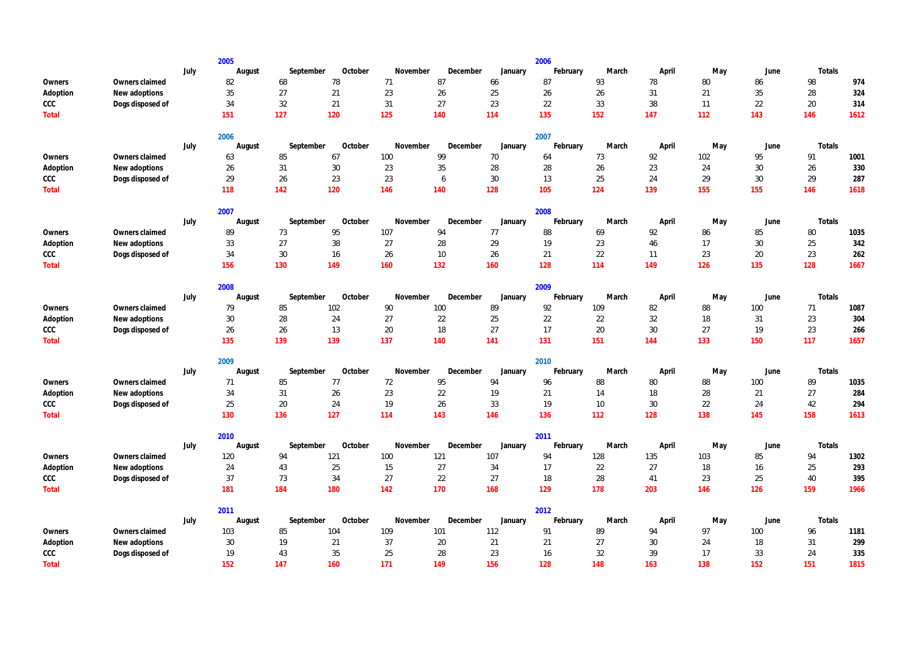|              |                  |      | 2005   |           |         |          |          |         | 2006     |       |        |     |      |        |      |
|--------------|------------------|------|--------|-----------|---------|----------|----------|---------|----------|-------|--------|-----|------|--------|------|
|              |                  | July | August | September | October | November | December | January | February | March | April  | May | June | Totals |      |
| Owners       | Owners claimed   |      | 82     | 68        | 78      | 71       | 87       | 66      | 87       | 93    | 78     | 80  | 86   | 98     | 974  |
| Adoption     | New adoptions    |      | 35     | 27        | 21      | 23       | 26       | 25      | 26       | 26    | 31     | 21  | 35   | 28     | 324  |
| CCC          | Dogs disposed of |      | 34     | 32        | 21      | 31       | 27       | 23      | 22       | 33    | 38     | 11  | 22   | 20     | 314  |
| <b>Total</b> |                  |      | 151    | 127       | 120     | 125      | 140      | 114     | 135      | 152   | 147    | 112 | 143  | 146    | 1612 |
|              |                  |      | 2006   |           |         |          |          |         | 2007     |       |        |     |      |        |      |
|              |                  | July | August | September | October | November | December | January | February | March | April  | May | June | Totals |      |
| Owners       | Owners claimed   |      | 63     | 85        | 67      | 100      | 99       | 70      | 64       | 73    | 92     | 102 | 95   | 91     | 1001 |
| Adoption     | New adoptions    |      | 26     | 31        | 30      | 23       | $35\,$   | 28      | 28       | 26    | 23     | 24  | 30   | 26     | 330  |
| CCC          | Dogs disposed of |      | 29     | 26        | 23      | 23       | 6        | 30      | 13       | 25    | 24     | 29  | 30   | 29     | 287  |
| <b>Total</b> |                  |      | 118    | 142       | 120     | 146      | 140      | 128     | 105      | 124   | 139    | 155 | 155  | 146    | 1618 |
|              |                  |      | 2007   |           |         |          |          |         | 2008     |       |        |     |      |        |      |
|              |                  | July | August | September | October | November | December | January | February | March | April  | May | June | Totals |      |
| Owners       | Owners claimed   |      | 89     | 73        | 95      | 107      | 94       | 77      | 88       | 69    | 92     | 86  | 85   | 80     | 1035 |
| Adoption     | New adoptions    |      | 33     | 27        | 38      | 27       | 28       | 29      | 19       | 23    | 46     | 17  | 30   | 25     | 342  |
| CCC          | Dogs disposed of |      | 34     | 30        | 16      | 26       | 10       | 26      | 21       | 22    | 11     | 23  | 20   | 23     | 262  |
| <b>Total</b> |                  |      | 156    | 130       | 149     | 160      | 132      | 160     | 128      | 114   | 149    | 126 | 135  | 128    | 1667 |
|              |                  |      | 2008   |           |         |          |          |         | 2009     |       |        |     |      |        |      |
|              |                  | July | August | September | October | November | December | January | February | March | April  | May | June | Totals |      |
| Owners       | Owners claimed   |      | 79     | 85        | 102     | 90       | 100      | 89      | 92       | 109   | 82     | 88  | 100  | 71     | 1087 |
| Adoption     | New adoptions    |      | 30     | 28        | 24      | 27       | 22       | 25      | 22       | 22    | 32     | 18  | 31   | 23     | 304  |
| CCC          | Dogs disposed of |      | 26     | 26        | 13      | 20       | 18       | 27      | 17       | 20    | 30     | 27  | 19   | 23     | 266  |
| <b>Total</b> |                  |      | 135    | 139       | 139     | 137      | 140      | 141     | 131      | 151   | 144    | 133 | 150  | 117    | 1657 |
|              |                  |      | 2009   |           |         |          |          |         | 2010     |       |        |     |      |        |      |
|              |                  | July | August | September | October | November | December | January | February | March | April  | May | June | Totals |      |
| Owners       | Owners claimed   |      | 71     | 85        | 77      | 72       | 95       | 94      | 96       | 88    | 80     | 88  | 100  | 89     | 1035 |
| Adoption     | New adoptions    |      | 34     | 31        | 26      | 23       | 22       | 19      | 21       | 14    | 18     | 28  | 21   | 27     | 284  |
| CCC          | Dogs disposed of |      | 25     | $20\,$    | 24      | 19       | 26       | 33      | 19       | 10    | 30     | 22  | 24   | 42     | 294  |
| Total        |                  |      | 130    | 136       | 127     | 114      | 143      | 146     | 136      | 112   | 128    | 138 | 145  | 158    | 1613 |
|              |                  |      | 2010   |           |         |          |          |         | 2011     |       |        |     |      |        |      |
|              |                  | July | August | September | October | November | December | January | February | March | April  | May | June | Totals |      |
| Owners       | Owners claimed   |      | 120    | 94        | 121     | 100      | 121      | 107     | 94       | 128   | 135    | 103 | 85   | 94     | 1302 |
| Adoption     | New adoptions    |      | 24     | 43        | 25      | 15       | 27       | 34      | 17       | 22    | 27     | 18  | 16   | 25     | 293  |
| CCC          | Dogs disposed of |      | 37     | 73        | 34      | 27       | 22       | 27      | 18       | 28    | 41     | 23  | 25   | 40     | 395  |
| Total        |                  |      | 181    | 184       | 180     | 142      | 170      | 168     | 129      | 178   | 203    | 146 | 126  | 159    | 1966 |
|              |                  |      | 2011   |           |         |          |          |         | 2012     |       |        |     |      |        |      |
|              |                  | July | August | September | October | November | December | January | February | March | April  | May | June | Totals |      |
| Owners       | Owners claimed   |      | 103    | 85        | 104     | 109      | 101      | 112     | 91       | 89    | 94     | 97  | 100  | 96     | 1181 |
| Adoption     | New adoptions    |      | 30     | 19        | 21      | 37       | 20       | 21      | 21       | 27    | $30\,$ | 24  | 18   | 31     | 299  |
| CCC          | Dogs disposed of |      | 19     | 43        | 35      | 25       | 28       | 23      | 16       | 32    | 39     | 17  | 33   | 24     | 335  |
| Total        |                  |      | 152    | 147       | 160     | 171      | 149      | 156     | 128      | 148   | 163    | 138 | 152  | 151    | 1815 |

| May | June | Totals |      |
|-----|------|--------|------|
| 80  | 86   | 98     | 974  |
| 21  | 35   | 28     | 324  |
| 11  | 22   | 20     | 314  |
| 112 | 143  | 146    | 1612 |

| May | June | Totals |      |
|-----|------|--------|------|
| 102 | 95   | 91     | 1001 |
| 24  | 30   | 26     | 330  |
| 29  | 30   | 29     | 287  |
| 155 | 155  | 146    | 1618 |

| May | June | Totals |      |
|-----|------|--------|------|
| 86  | 85   | 80     | 1035 |
| 17  | 30   | 25     | 342  |
| 23  | 20   | 23     | 262  |
| 126 | 135  | 128    | 1667 |

| May | June | Totals |      |
|-----|------|--------|------|
| 88  | 100  | 71     | 1087 |
| 18  | 31   | 23     | 304  |
| 27  | 19   | 23     | 266  |
| 133 | 150  | 117    | 1657 |

| May | June | Totals |      |
|-----|------|--------|------|
| 88  | 100  | 89     | 1035 |
| 28  | 21   | 27     | 284  |
| 22  | 24   | 42     | 294  |
| 138 | 145  | 158    | 1613 |

| May | June | Totals |      |
|-----|------|--------|------|
| 103 | 85   | 94     | 1302 |
| 18  | 16   | 25     | 293  |
| 23  | 25   | 40     | 395  |
| 146 | 126  | 159    | 1966 |

| June |     |        |
|------|-----|--------|
| 100  | 96  | 1181   |
| 18   | 31  | 299    |
| 33   | 24  | 335    |
| 152  | 151 | 1815   |
|      |     | Totals |